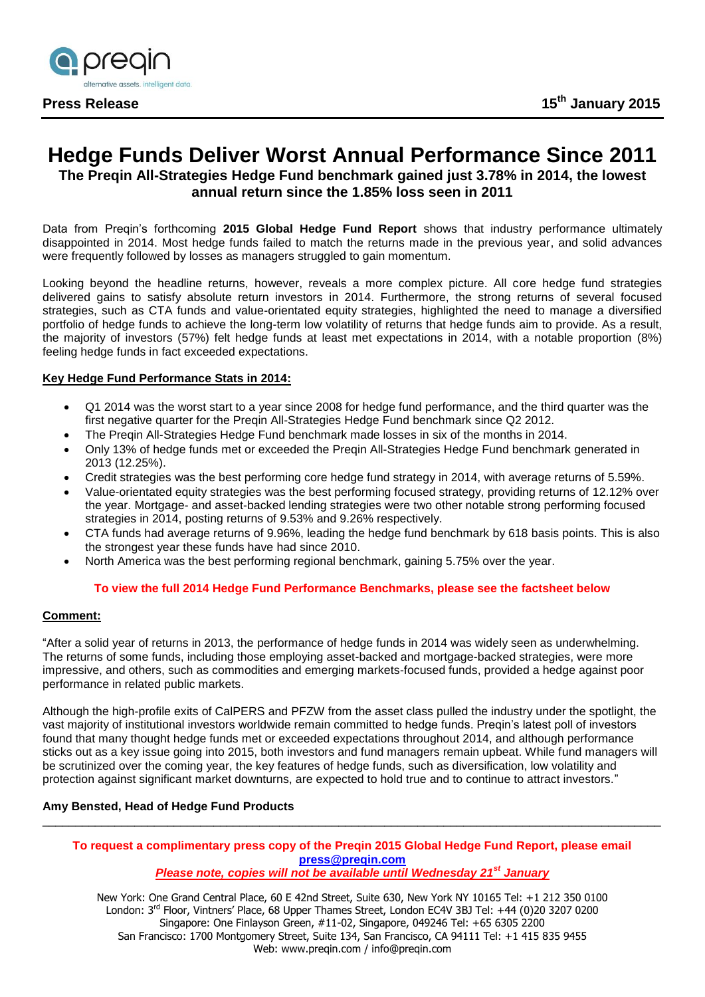

# **Hedge Funds Deliver Worst Annual Performance Since 2011**

**The Preqin All-Strategies Hedge Fund benchmark gained just 3.78% in 2014, the lowest annual return since the 1.85% loss seen in 2011**

Data from Preqin's forthcoming **2015 Global Hedge Fund Report** shows that industry performance ultimately disappointed in 2014. Most hedge funds failed to match the returns made in the previous year, and solid advances were frequently followed by losses as managers struggled to gain momentum.

Looking beyond the headline returns, however, reveals a more complex picture. All core hedge fund strategies delivered gains to satisfy absolute return investors in 2014. Furthermore, the strong returns of several focused strategies, such as CTA funds and value-orientated equity strategies, highlighted the need to manage a diversified portfolio of hedge funds to achieve the long-term low volatility of returns that hedge funds aim to provide. As a result, the majority of investors (57%) felt hedge funds at least met expectations in 2014, with a notable proportion (8%) feeling hedge funds in fact exceeded expectations.

# **Key Hedge Fund Performance Stats in 2014:**

- Q1 2014 was the worst start to a year since 2008 for hedge fund performance, and the third quarter was the first negative quarter for the Preqin All-Strategies Hedge Fund benchmark since Q2 2012.
- The Pregin All-Strategies Hedge Fund benchmark made losses in six of the months in 2014.
- Only 13% of hedge funds met or exceeded the Preqin All-Strategies Hedge Fund benchmark generated in 2013 (12.25%).
- Credit strategies was the best performing core hedge fund strategy in 2014, with average returns of 5.59%.
- Value-orientated equity strategies was the best performing focused strategy, providing returns of 12.12% over the year. Mortgage- and asset-backed lending strategies were two other notable strong performing focused strategies in 2014, posting returns of 9.53% and 9.26% respectively.
- CTA funds had average returns of 9.96%, leading the hedge fund benchmark by 618 basis points. This is also the strongest year these funds have had since 2010.
- North America was the best performing regional benchmark, gaining 5.75% over the year.

## **To view the full 2014 Hedge Fund Performance Benchmarks, please see the factsheet below**

## **Comment:**

"After a solid year of returns in 2013, the performance of hedge funds in 2014 was widely seen as underwhelming. The returns of some funds, including those employing asset-backed and mortgage-backed strategies, were more impressive, and others, such as commodities and emerging markets-focused funds, provided a hedge against poor performance in related public markets.

Although the high-profile exits of CalPERS and PFZW from the asset class pulled the industry under the spotlight, the vast majority of institutional investors worldwide remain committed to hedge funds. Preqin's latest poll of investors found that many thought hedge funds met or exceeded expectations throughout 2014, and although performance sticks out as a key issue going into 2015, both investors and fund managers remain upbeat. While fund managers will be scrutinized over the coming year, the key features of hedge funds, such as diversification, low volatility and protection against significant market downturns, are expected to hold true and to continue to attract investors."

## **Amy Bensted, Head of Hedge Fund Products**

#### **To request a complimentary press copy of the Preqin 2015 Global Hedge Fund Report, please email [press@preqin.com](mailto:press@preqin.com)** *Please note, copies will not be available until Wednesday 21st January*

\_\_\_\_\_\_\_\_\_\_\_\_\_\_\_\_\_\_\_\_\_\_\_\_\_\_\_\_\_\_\_\_\_\_\_\_\_\_\_\_\_\_\_\_\_\_\_\_\_\_\_\_\_\_\_\_\_\_\_\_\_\_\_\_\_\_\_\_\_\_\_\_\_\_\_\_\_\_\_\_\_\_\_\_\_\_\_\_\_\_\_\_\_\_

New York: One Grand Central Place, 60 E 42nd Street, Suite 630, New York NY 10165 Tel: +1 212 350 0100 London: 3<sup>rd</sup> Floor, Vintners' Place, 68 Upper Thames Street, London EC4V 3BJ Tel: +44 (0)20 3207 0200 Singapore: One Finlayson Green, #11-02, Singapore, 049246 Tel: +65 6305 2200 San Francisco: 1700 Montgomery Street, Suite 134, San Francisco, CA 94111 Tel: +1 415 835 9455 Web: www.preqin.com / info@preqin.com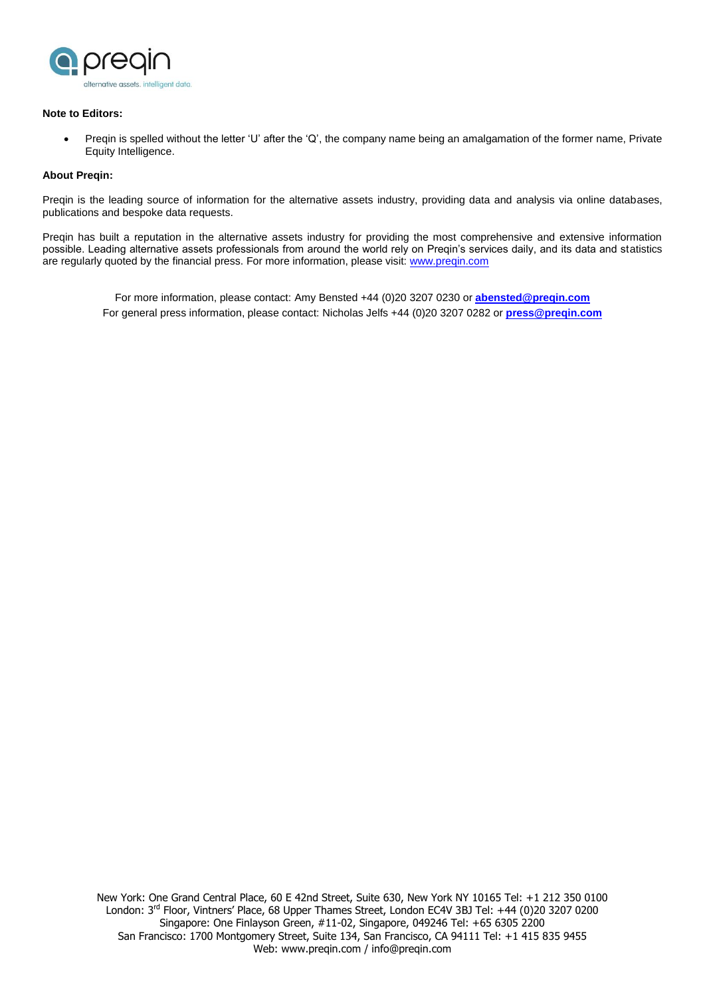

#### **Note to Editors:**

 Preqin is spelled without the letter 'U' after the 'Q', the company name being an amalgamation of the former name, Private Equity Intelligence.

#### **About Preqin:**

Preqin is the leading source of information for the alternative assets industry, providing data and analysis via online databases, publications and bespoke data requests.

Preqin has built a reputation in the alternative assets industry for providing the most comprehensive and extensive information possible. Leading alternative assets professionals from around the world rely on Preqin's services daily, and its data and statistics are regularly quoted by the financial press. For more information, please visit: [www.preqin.com](http://www.preqin.com/)

For more information, please contact: Amy Bensted +44 (0)20 3207 0230 or **[abensted@preqin.com](mailto:abensted@preqin.com)** For general press information, please contact: Nicholas Jelfs +44 (0)20 3207 0282 or **[press@preqin.com](mailto:press@preqin.com)**